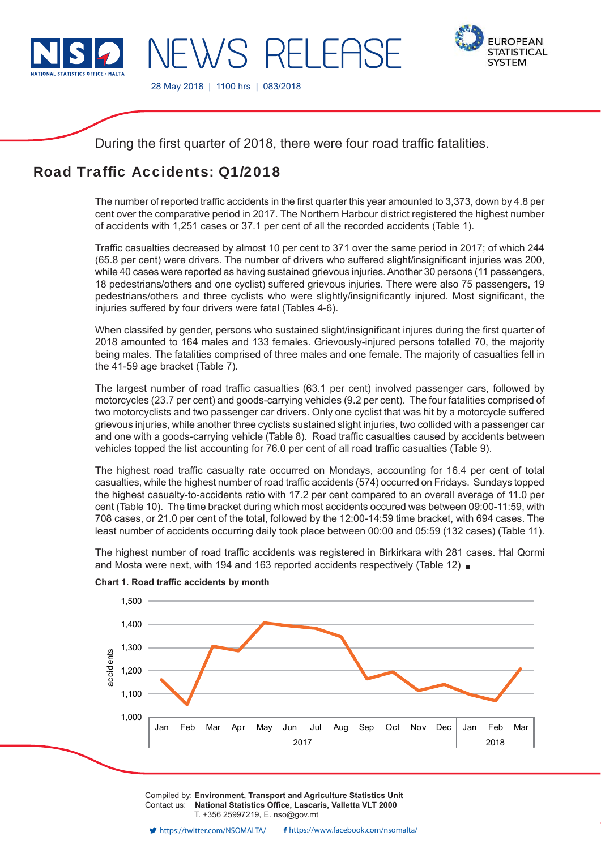

**EWS RELEAS** 



28 May 2018 | 1100 hrs | 083/2018

During the first quarter of 2018, there were four road traffic fatalities.

# Road Traffic Accidents: 01/2018

The number of reported traffic accidents in the first quarter this year amounted to 3,373, down by 4.8 per cent over the comparative period in 2017. The Northern Harbour district registered the highest number of accidents with 1,251 cases or 37.1 per cent of all the recorded accidents (Table 1).

Traffic casualties decreased by almost 10 per cent to 371 over the same period in 2017; of which 244 (65.8 per cent) were drivers. The number of drivers who suffered slight/insignificant injuries was 200, while 40 cases were reported as having sustained grievous injuries. Another 30 persons (11 passengers, 18 pedestrians/others and one cyclist) suffered grievous injuries. There were also 75 passengers, 19 pedestrians/others and three cyclists who were slightly/insignificantly injured. Most significant, the injuries suffered by four drivers were fatal (Tables 4-6).

When classifed by gender, persons who sustained slight/insignificant injures during the first quarter of 2018 amounted to 164 males and 133 females. Grievously-injured persons totalled 70, the majority being males. The fatalities comprised of three males and one female. The majority of casualties fell in the 41-59 age bracket (Table 7).

The largest number of road traffic casualties (63.1 per cent) involved passenger cars, followed by motorcycles (23.7 per cent) and goods-carrying vehicles (9.2 per cent). The four fatalities comprised of two motorcyclists and two passenger car drivers. Only one cyclist that was hit by a motorcycle suffered grievous injuries, while another three cyclists sustained slight injuries, two collided with a passenger car and one with a goods-carrying vehicle (Table 8). Road traffic casualties caused by accidents between vehicles topped the list accounting for 76.0 per cent of all road traffic casualties (Table 9).

The highest road traffic casualty rate occurred on Mondays, accounting for 16.4 per cent of total casualties, while the highest number of road traffic accidents (574) occurred on Fridays. Sundays topped the highest casualty-to-accidents ratio with 17.2 per cent compared to an overall average of 11.0 per cent (Table 10). The time bracket during which most accidents occured was between 09:00-11:59, with 708 cases, or 21.0 per cent of the total, followed by the 12:00-14:59 time bracket, with 694 cases. The least number of accidents occurring daily took place between 00:00 and 05:59 (132 cases) (Table 11).

The highest number of road traffic accidents was registered in Birkirkara with 281 cases. Hal Qormi and Mosta were next, with 194 and 163 reported accidents respectively (Table 12)



**Chart 1. Road traffic accidents by month** 

Compiled by: **Environment, Transport and Agriculture Statistics Unit** Contact us: National Statistics Office, Lascaris, Valletta VLT 2000 T. +356 25997219, E. nso@gov.mt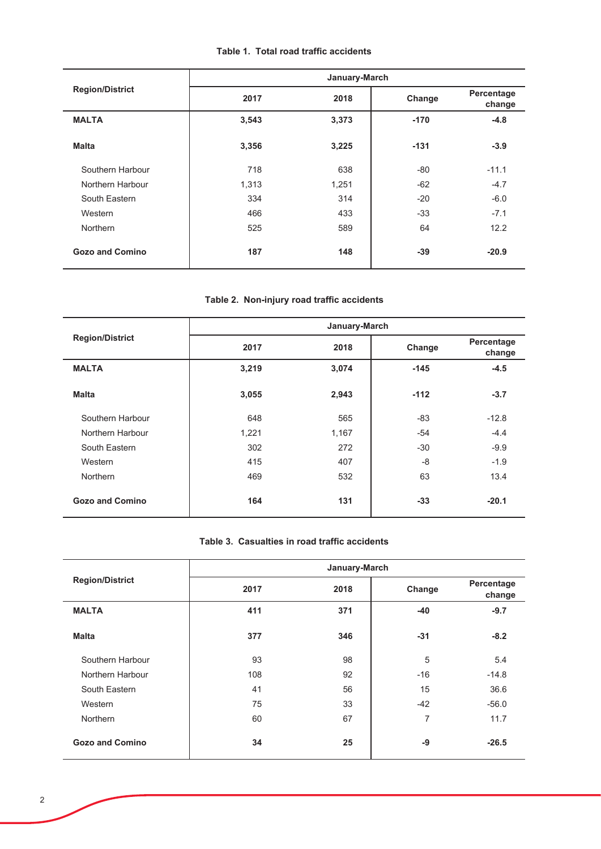## Table 1. Total road traffic accidents

|                        |       | January-March |        |                      |
|------------------------|-------|---------------|--------|----------------------|
| <b>Region/District</b> | 2017  | 2018          | Change | Percentage<br>change |
| <b>MALTA</b>           | 3,543 | 3,373         | $-170$ | $-4.8$               |
| <b>Malta</b>           | 3,356 | 3,225         | $-131$ | $-3.9$               |
| Southern Harbour       | 718   | 638           | $-80$  | $-11.1$              |
| Northern Harbour       | 1,313 | 1,251         | $-62$  | $-4.7$               |
| South Eastern          | 334   | 314           | $-20$  | $-6.0$               |
| Western                | 466   | 433           | $-33$  | $-7.1$               |
| Northern               | 525   | 589           | 64     | 12.2                 |
| <b>Gozo and Comino</b> | 187   | 148           | $-39$  | $-20.9$              |

## Table 2. Non-injury road traffic accidents

|                        |       | January-March |        |                      |
|------------------------|-------|---------------|--------|----------------------|
| <b>Region/District</b> | 2017  | 2018          | Change | Percentage<br>change |
| <b>MALTA</b>           | 3,219 | 3,074         | $-145$ | $-4.5$               |
| <b>Malta</b>           | 3,055 | 2,943         | $-112$ | $-3.7$               |
| Southern Harbour       | 648   | 565           | -83    | $-12.8$              |
| Northern Harbour       | 1,221 | 1,167         | $-54$  | $-4.4$               |
| South Eastern          | 302   | 272           | $-30$  | $-9.9$               |
| Western                | 415   | 407           | $-8$   | $-1.9$               |
| Northern               | 469   | 532           | 63     | 13.4                 |
| <b>Gozo and Comino</b> | 164   | 131           | $-33$  | $-20.1$              |

### Table 3. Casualties in road traffic accidents

|                        | January-March |      |                |                      |  |  |  |  |
|------------------------|---------------|------|----------------|----------------------|--|--|--|--|
| <b>Region/District</b> | 2017          | 2018 | Change         | Percentage<br>change |  |  |  |  |
| <b>MALTA</b>           | 411           | 371  | $-40$          | $-9.7$               |  |  |  |  |
| <b>Malta</b>           | 377           | 346  | $-31$          | $-8.2$               |  |  |  |  |
| Southern Harbour       | 93            | 98   | 5              | 5.4                  |  |  |  |  |
| Northern Harbour       | 108           | 92   | $-16$          | $-14.8$              |  |  |  |  |
| South Eastern          | 41            | 56   | 15             | 36.6                 |  |  |  |  |
| Western                | 75            | 33   | $-42$          | $-56.0$              |  |  |  |  |
| Northern               | 60            | 67   | $\overline{7}$ | 11.7                 |  |  |  |  |
| <b>Gozo and Comino</b> | 34            | 25   | -9             | $-26.5$              |  |  |  |  |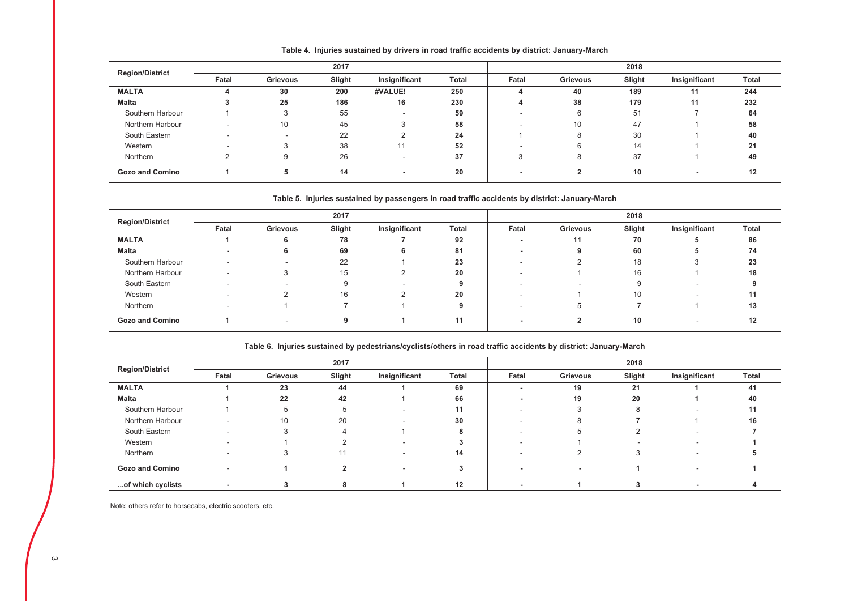| <b>Region/District</b> |       |                 | 2017   |                          |       | 2018  |          |        |               |       |
|------------------------|-------|-----------------|--------|--------------------------|-------|-------|----------|--------|---------------|-------|
|                        | Fatal | <b>Grievous</b> | Slight | Insignificant            | Total | Fatal | Grievous | Slight | Insignificant | Total |
| <b>MALTA</b>           |       | 30              | 200    | #VALUE!                  | 250   |       | 40       | 189    | 11            | 244   |
| <b>Malta</b>           |       | 25              | 186    | 16                       | 230   | 4     | 38       | 179    | 11            | 232   |
| Southern Harbour       |       |                 | 55     | $\overline{\phantom{a}}$ | 59    |       | 6        | 51     |               | 64    |
| Northern Harbour       |       | 10              | 45     | 3                        | 58    |       | 10       | 47     |               | 58    |
| South Eastern          |       | . .             | 22     |                          | 24    |       | 8        | 30     |               | 40    |
| Western                |       |                 | 38     | 11                       | 52    |       | 6        | 14     |               | 21    |
| Northern               |       | 9               | 26     | . .                      | 37    | 3     | 8        | 37     |               | 49    |
| <b>Gozo and Comino</b> |       | 5               | 14     | $\,$ $\,$                | 20    |       | 2        | 10     |               | 12    |

Table 4. Injuries sustained by drivers in road traffic accidents by district: January-March

#### Table 5. Injuries sustained by passengers in road traffic accidents by district: January-March

| <b>Region/District</b> |       | 2017     |        |               |       | 2018  |                          |        |               |       |
|------------------------|-------|----------|--------|---------------|-------|-------|--------------------------|--------|---------------|-------|
|                        | Fatal | Grievous | Slight | Insignificant | Total | Fatal | Grievous                 | Slight | Insignificant | Total |
| <b>MALTA</b>           |       | n        | 78     |               | 92    |       | 11                       | 70     |               | 86    |
| Malta                  |       | 6        | 69     |               | 81    |       | 9                        | 60     |               | 74    |
| Southern Harbour       |       |          | 22     |               | 23    |       |                          | 18     |               | 23    |
| Northern Harbour       |       |          | 15     |               | 20    |       |                          | 16     |               | 18    |
| South Eastern          |       |          | 9      |               |       |       | $\overline{\phantom{a}}$ |        |               |       |
| Western                |       |          | 16     |               | 20    |       |                          | 10     |               | 11    |
| Northern               |       |          |        |               |       |       | Ð                        |        |               | 13    |
| <b>Gozo and Comino</b> |       |          | 9      |               |       |       |                          | 10     |               | 12    |

| <b>Region/District</b> |       |             | 2017   |               |       | 2018  |          |        |               |       |
|------------------------|-------|-------------|--------|---------------|-------|-------|----------|--------|---------------|-------|
|                        | Fatal | Grievous    | Slight | Insignificant | Total | Fatal | Grievous | Slight | Insignificant | Total |
| <b>MALTA</b>           |       | 23          | 44     |               | 69    |       | 19       | 21     |               | 41    |
| Malta                  |       | 22          | 42     |               | 66    |       | 19       | 20     |               | 40    |
| Southern Harbour       |       | $\mathbf b$ |        |               | 11    |       |          | 8      |               | 11    |
| Northern Harbour       |       | 10          | 20     |               | 30    |       |          |        |               | 16    |
| South Eastern          |       | З           |        |               |       |       |          |        |               |       |
| Western                |       |             |        |               |       |       |          |        |               |       |
| Northern               |       |             | 11     |               | 14    |       |          |        |               |       |
| <b>Gozo and Comino</b> |       |             |        |               |       |       | $\sim$   |        | -             |       |
| of which cyclists      |       |             |        |               | 12    |       |          |        | -             |       |

Note: others refer to horsecabs, electric scooters, etc.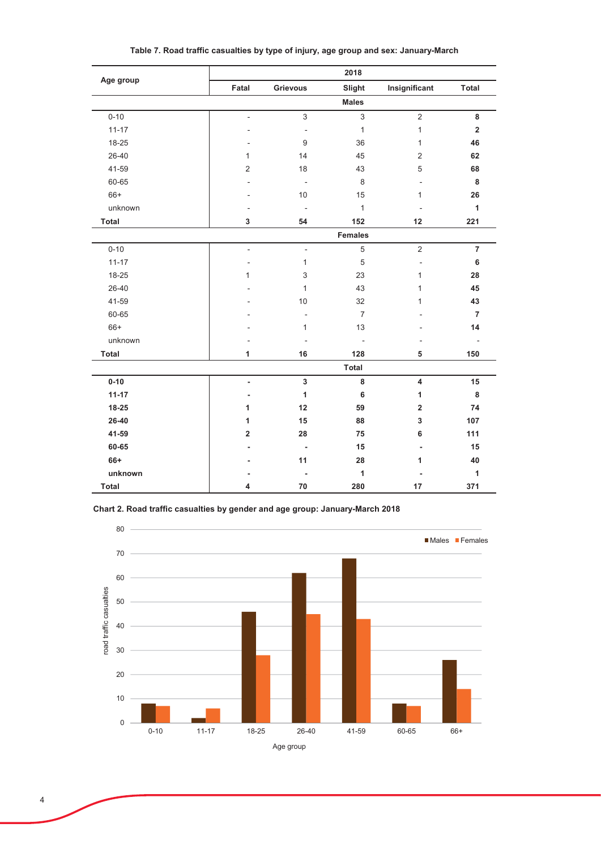|              |                          |                           | 2018           |                          |                |
|--------------|--------------------------|---------------------------|----------------|--------------------------|----------------|
| Age group    | Fatal                    | <b>Grievous</b>           | Slight         | Insignificant            | <b>Total</b>   |
|              |                          |                           | <b>Males</b>   |                          |                |
| $0 - 10$     | $\overline{\phantom{a}}$ | $\ensuremath{\mathsf{3}}$ | $\mathsf 3$    | $\overline{2}$           | 8              |
| $11 - 17$    |                          | $\overline{\phantom{a}}$  | $\mathbf{1}$   | $\mathbf{1}$             | $\mathbf 2$    |
| 18-25        | ٠                        | 9                         | 36             | 1                        | 46             |
| 26-40        | 1                        | 14                        | 45             | $\overline{2}$           | 62             |
| 41-59        | $\overline{2}$           | 18                        | 43             | $\mathbf 5$              | 68             |
| 60-65        |                          | $\overline{\phantom{a}}$  | 8              | ÷,                       | 8              |
| $66+$        |                          | 10                        | 15             | $\mathbf{1}$             | 26             |
| unknown      |                          | $\overline{\phantom{a}}$  | $\mathbf{1}$   | ÷,                       | $\mathbf{1}$   |
| Total        | 3                        | 54                        | 152            | 12                       | 221            |
|              |                          |                           | <b>Females</b> |                          |                |
| $0 - 10$     | $\overline{a}$           | $\overline{\phantom{a}}$  | $\sqrt{5}$     | $\sqrt{2}$               | $\overline{7}$ |
| $11 - 17$    | $\overline{a}$           | $\mathbf{1}$              | $\,$ 5 $\,$    | $\overline{\phantom{a}}$ | 6              |
| 18-25        | 1                        | 3                         | 23             | 1                        | 28             |
| 26-40        |                          | $\mathbf{1}$              | 43             | 1                        | 45             |
| 41-59        |                          | 10                        | 32             | 1                        | 43             |
| 60-65        |                          | $\blacksquare$            | $\overline{7}$ |                          | $\overline{7}$ |
| $66+$        |                          | $\mathbf{1}$              | 13             |                          | 14             |
| unknown      |                          | ÷,                        | ÷,             |                          | $\overline{a}$ |
| <b>Total</b> | 1                        | 16                        | 128            | 5                        | 150            |
|              |                          |                           | <b>Total</b>   |                          |                |
| $0 - 10$     | $\overline{\phantom{0}}$ | $\mathbf 3$               | 8              | 4                        | 15             |
| $11 - 17$    | $\overline{\phantom{a}}$ | 1                         | 6              | 1                        | 8              |
| 18-25        | 1                        | 12                        | 59             | $\overline{\mathbf{2}}$  | 74             |
| 26-40        | 1                        | 15                        | 88             | 3                        | 107            |
| 41-59        | $\overline{2}$           | 28                        | 75             | 6                        | 111            |
| 60-65        |                          | $\blacksquare$            | 15             | $\blacksquare$           | 15             |
| 66+          |                          | 11                        | 28             | 1                        | 40             |
| unknown      |                          |                           | 1              |                          | 1              |
| Total        | 4                        | 70                        | 280            | 17                       | 371            |

Table 7. Road traffic casualties by type of injury, age group and sex: January-March

Chart 2. Road traffic casualties by gender and age group: January-March 2018

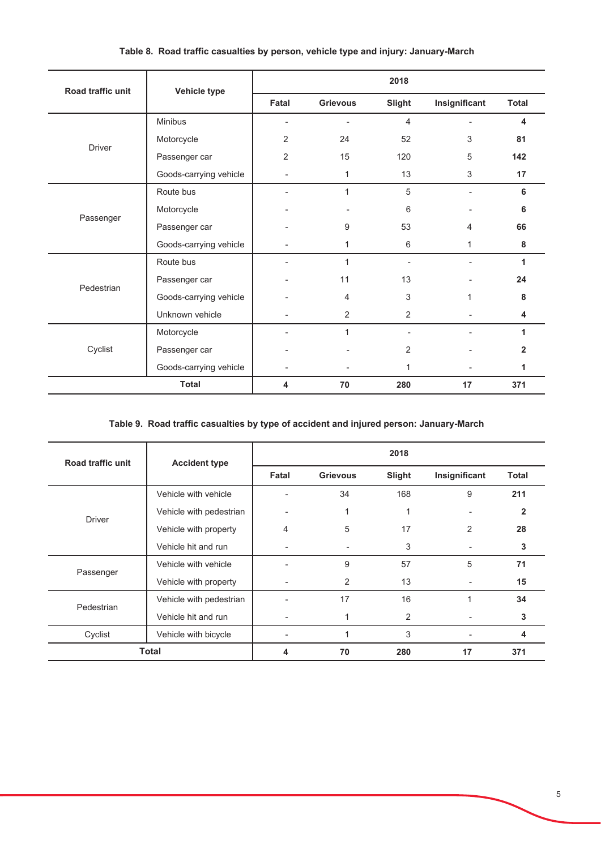| Road traffic unit | Vehicle type           |                |                 | 2018           |                          |              |
|-------------------|------------------------|----------------|-----------------|----------------|--------------------------|--------------|
|                   |                        | Fatal          | <b>Grievous</b> | Slight         | Insignificant            | <b>Total</b> |
|                   | Minibus                |                | $\overline{a}$  | 4              | $\overline{\phantom{a}}$ | 4            |
| <b>Driver</b>     | Motorcycle             | 2              | 24              | 52             | 3                        | 81           |
|                   | Passenger car          | $\overline{2}$ | 15              | 120            | 5                        | 142          |
|                   | Goods-carrying vehicle |                | 1               | 13             | 3                        | 17           |
|                   | Route bus              |                | 1               | 5              |                          | 6            |
|                   | Motorcycle             |                |                 | 6              | $\overline{\phantom{a}}$ | 6            |
| Passenger         | Passenger car          |                | 9               | 53             | 4                        | 66           |
|                   | Goods-carrying vehicle |                | 1               | 6              | 1                        | 8            |
|                   | Route bus              |                | 1               | $\overline{a}$ | $\blacksquare$           | 1            |
|                   | Passenger car          |                | 11              | 13             |                          | 24           |
| Pedestrian        | Goods-carrying vehicle |                | 4               | 3              | $\mathbf{1}$             | 8            |
|                   | Unknown vehicle        |                | 2               | 2              |                          | 4            |
|                   | Motorcycle             |                | 1               |                |                          | 1            |
| Cyclist           | Passenger car          |                |                 | 2              |                          | 2            |
|                   | Goods-carrying vehicle |                |                 | 1              |                          | 1            |
|                   | <b>Total</b>           | 4              | 70              | 280            | 17                       | 371          |

### Table 8. Road traffic casualties by person, vehicle type and injury: January-March

### Table 9. Road traffic casualties by type of accident and injured person: January-March

| Road traffic unit | <b>Accident type</b>                        | 2018  |                 |        |                |              |  |  |  |
|-------------------|---------------------------------------------|-------|-----------------|--------|----------------|--------------|--|--|--|
|                   |                                             | Fatal | <b>Grievous</b> | Slight | Insignificant  | <b>Total</b> |  |  |  |
|                   | Vehicle with vehicle                        |       | 34              | 168    | 9              | 211          |  |  |  |
|                   | Vehicle with pedestrian                     |       | 1               | 1      |                | 2            |  |  |  |
| <b>Driver</b>     | Vehicle with property                       | 4     | 5               | 17     | $\overline{2}$ | 28           |  |  |  |
|                   | Vehicle hit and run<br>Vehicle with vehicle | ٠     | 3               | ٠      | 3              |              |  |  |  |
|                   |                                             |       | 9               | 57     | 5              | 71           |  |  |  |
| Passenger         | Vehicle with property                       |       | 2               | 13     |                | 15           |  |  |  |
| Pedestrian        | Vehicle with pedestrian                     |       | 17              | 16     |                | 34           |  |  |  |
|                   | Vehicle hit and run                         |       |                 | 2      |                | 3            |  |  |  |
| Cyclist           | Vehicle with bicycle                        |       |                 | 3      |                | 4            |  |  |  |
|                   | <b>Total</b>                                | 4     | 70              | 280    | 17             | 371          |  |  |  |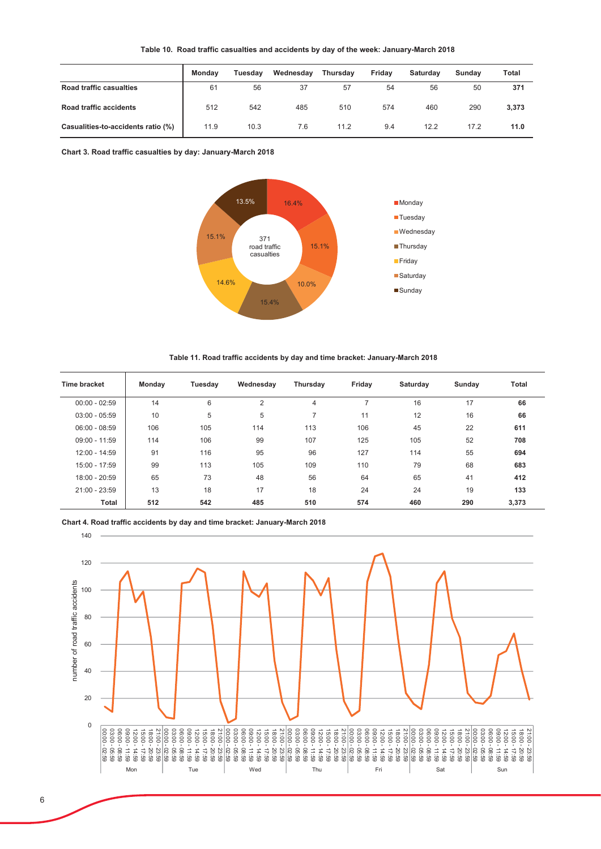| Table 10. Road traffic casualties and accidents by day of the week: January-March 2018 |  |  |  |  |  |
|----------------------------------------------------------------------------------------|--|--|--|--|--|
|----------------------------------------------------------------------------------------|--|--|--|--|--|

|                                    | Mondav | Tuesdav | Wednesdav | <b>Thursdav</b> | Fridav | Saturdav | Sundav | Total |
|------------------------------------|--------|---------|-----------|-----------------|--------|----------|--------|-------|
| Road traffic casualties            | 61     | 56      | 37        | 57              | 54     | 56       | 50     | 371   |
| <b>Road traffic accidents</b>      | 512    | 542     | 485       | 510             | 574    | 460      | 290    | 3,373 |
| Casualities-to-accidents ratio (%) | 11.9   | 10.3    | 7.6       | 11.2            | 9.4    | 12.2     | 17.2   | 11.0  |

Chart 3. Road traffic casualties by day: January-March 2018



Table 11. Road traffic accidents by day and time bracket: January-March 2018

| <b>Time bracket</b> | Monday | Tuesday | Wednesday | Thursday       | Friday | Saturday | Sunday | <b>Total</b> |
|---------------------|--------|---------|-----------|----------------|--------|----------|--------|--------------|
| $00:00 - 02:59$     | 14     | 6       | 2         | $\overline{4}$ |        | 16       | 17     | 66           |
| $03:00 - 05:59$     | 10     | 5       | 5         | $\overline{ }$ | 11     | 12       | 16     | 66           |
| $06:00 - 08:59$     | 106    | 105     | 114       | 113            | 106    | 45       | 22     | 611          |
| $09:00 - 11:59$     | 114    | 106     | 99        | 107            | 125    | 105      | 52     | 708          |
| 12:00 - 14:59       | 91     | 116     | 95        | 96             | 127    | 114      | 55     | 694          |
| $15:00 - 17:59$     | 99     | 113     | 105       | 109            | 110    | 79       | 68     | 683          |
| 18:00 - 20:59       | 65     | 73      | 48        | 56             | 64     | 65       | 41     | 412          |
| 21:00 - 23:59       | 13     | 18      | 17        | 18             | 24     | 24       | 19     | 133          |
| Total               | 512    | 542     | 485       | 510            | 574    | 460      | 290    | 3,373        |

Chart 4. Road traffic accidents by day and time bracket: January-March 2018

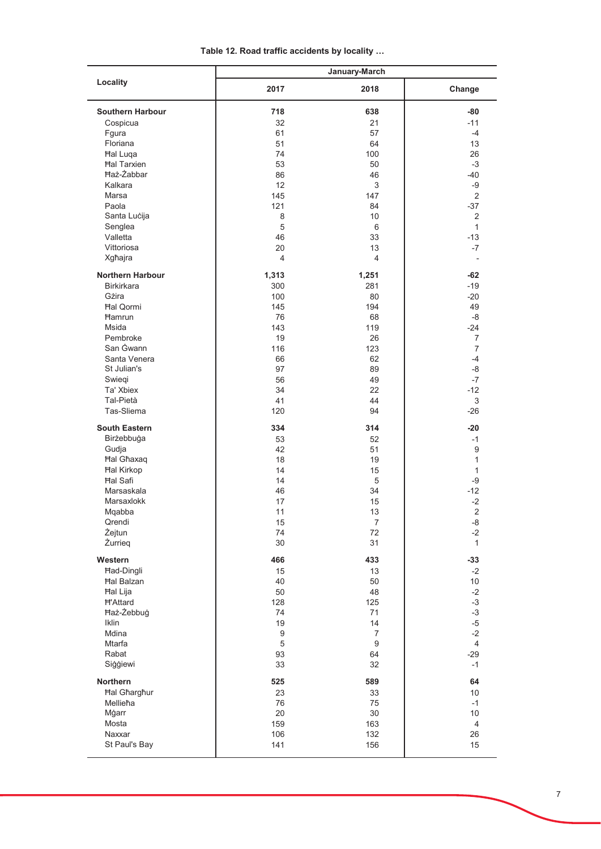| Table 12. Road traffic accidents by locality |  |
|----------------------------------------------|--|
|----------------------------------------------|--|

|                         | January-March    |                  |                  |  |  |  |
|-------------------------|------------------|------------------|------------------|--|--|--|
| Locality                | 2017             | 2018             | Change           |  |  |  |
| <b>Southern Harbour</b> | 718              | 638              | $-80$            |  |  |  |
| Cospicua                | 32               | 21               | $-11$            |  |  |  |
| Fgura                   | 61               | 57               | $-4$             |  |  |  |
| Floriana                | 51               | 64               | 13               |  |  |  |
|                         |                  |                  |                  |  |  |  |
| <b>Hal Luga</b>         | 74               | 100              | 26               |  |  |  |
| <b>Hal Tarxien</b>      | 53               | 50               | $-3$             |  |  |  |
| <b>Ħaż-Żabbar</b>       | 86               | 46               | $-40$            |  |  |  |
| Kalkara                 | 12               | 3                | $-9$             |  |  |  |
| Marsa                   | 145              | 147              | 2                |  |  |  |
| Paola                   | 121              | 84               | $-37$            |  |  |  |
| Santa Lucija            | 8                | 10               |                  |  |  |  |
| Senglea                 | $\overline{5}$   | 6                |                  |  |  |  |
| Valletta                | 46               | 33               | $-13$            |  |  |  |
| Vittoriosa              | 20               | 13               | $-7$             |  |  |  |
| Xgħajra                 | $\overline{4}$   | $\overline{4}$   |                  |  |  |  |
| <b>Northern Harbour</b> | 1,313            | 1,251            | $-62$            |  |  |  |
| <b>Birkirkara</b>       | 300              | 281              | $-19$            |  |  |  |
| Gżira                   | 100              | 80               | $-20$            |  |  |  |
| <b>Hal Qormi</b>        | 145              | 194              | 49               |  |  |  |
| <b>Hamrun</b>           | 76               | 68               | -8               |  |  |  |
| <b>Msida</b>            |                  |                  |                  |  |  |  |
|                         | 143              | 119              | $-24$            |  |  |  |
| Pembroke                | 19               | 26               | $\overline{7}$   |  |  |  |
| San Gwann               | 116              | 123              | $\overline{7}$   |  |  |  |
| Santa Venera            | 66               | 62               | $-4$             |  |  |  |
| St Julian's             | 97               | 89               | -8               |  |  |  |
| Swiegi                  | 56               | 49               | $-7$             |  |  |  |
| Ta' Xbiex               | 34               | 22               | $-12$            |  |  |  |
| Tal-Pietà               | 41               | 44               | 3                |  |  |  |
| Tas-Sliema              | 120              | 94               | $-26$            |  |  |  |
| <b>South Eastern</b>    | 334              | 314              | $-20$            |  |  |  |
| Birżebbuġa              | 53               | 52               | $-1$             |  |  |  |
| Gudja                   | 42               | 51               | $\boldsymbol{9}$ |  |  |  |
| <b>Hal Ghaxaq</b>       | 18               | 19               |                  |  |  |  |
| <b>Hal Kirkop</b>       | 14               | 15               |                  |  |  |  |
| <b>Hal Safi</b>         | 14               | 5                | -9               |  |  |  |
| Marsaskala              | 46               | 34               | $-12$            |  |  |  |
|                         |                  |                  | $-2$             |  |  |  |
| Marsaxlokk              | 17               | 15               |                  |  |  |  |
| Mqabba                  | 11               | $13$             | $\sqrt{2}$       |  |  |  |
| Qrendi                  | 15               | $\overline{7}$   | $-8-$            |  |  |  |
| Żejtun                  | 74               | 72               | $-2$             |  |  |  |
| Żurrieq                 | 30               | 31               | $\mathbf{1}$     |  |  |  |
| Western                 | 466              | 433              | $-33$            |  |  |  |
| <b>Had-Dingli</b>       | 15               | 13               | $-2$             |  |  |  |
| <b>Hal Balzan</b>       | 40               | 50               | 10               |  |  |  |
| Hal Lija                | 50               | 48               | $-2$             |  |  |  |
| <b>H'Attard</b>         | 128              | 125              | $-3$             |  |  |  |
| Haż-Żebbuġ              | 74               | 71               | $-3$             |  |  |  |
| Iklin                   | 19               | 14               | $-5$             |  |  |  |
| Mdina                   | $\boldsymbol{9}$ | $\overline{7}$   | $-2$             |  |  |  |
| Mtarfa                  | 5                | $\boldsymbol{9}$ | $\overline{4}$   |  |  |  |
| Rabat                   | 93               | 64               | $-29$            |  |  |  |
| Siggiewi                | 33               | 32               | $-1$             |  |  |  |
| Northern                | 525              | 589              | 64               |  |  |  |
| <b>Hal Gharghur</b>     | 23               | 33               | 10               |  |  |  |
| Mellieħa                | 76               | 75               | $-1$             |  |  |  |
|                         | 20               | 30               | 10               |  |  |  |
| Mġarr                   |                  |                  |                  |  |  |  |
| Mosta                   | 159              | 163              | $\overline{4}$   |  |  |  |
| Naxxar                  | 106              | 132              | 26               |  |  |  |
| St Paul's Bay           | 141              | 156              | 15               |  |  |  |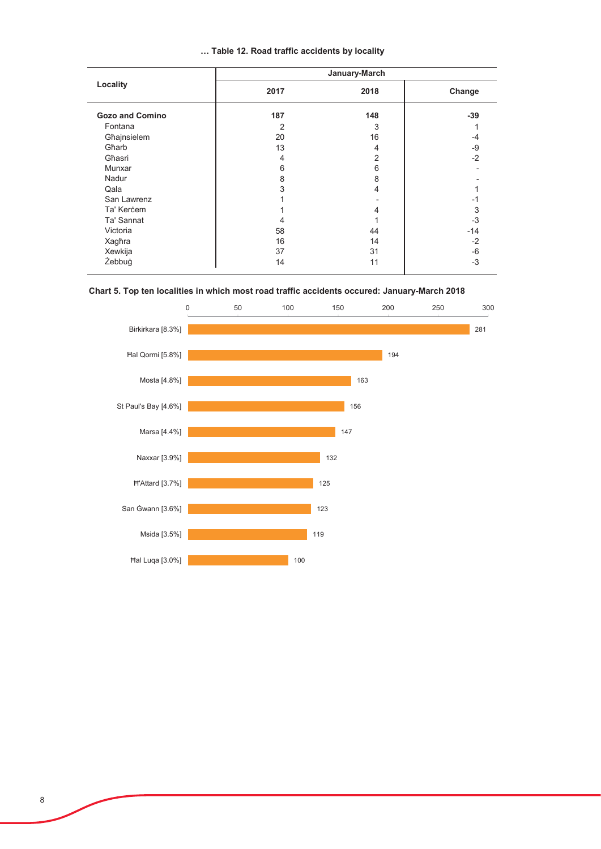|  |  |  |  |  | Table 12. Road traffic accidents by locality |  |  |
|--|--|--|--|--|----------------------------------------------|--|--|
|--|--|--|--|--|----------------------------------------------|--|--|

|                        | January-March  |      |        |  |  |  |
|------------------------|----------------|------|--------|--|--|--|
| Locality               | 2017           | 2018 | Change |  |  |  |
| <b>Gozo and Comino</b> | 187            | 148  | $-39$  |  |  |  |
| Fontana                | 2              | 3    |        |  |  |  |
| Għajnsielem            | 20             | 16   | -4     |  |  |  |
| Gharb                  | 13             | 4    | -9     |  |  |  |
| Għasri                 | $\overline{4}$ | 2    | $-2$   |  |  |  |
| Munxar                 | 6              | 6    |        |  |  |  |
| Nadur                  | 8              | 8    |        |  |  |  |
| Qala                   | 3              | 4    |        |  |  |  |
| San Lawrenz            |                |      | -1     |  |  |  |
| Ta' Kercem             |                | 4    | 3      |  |  |  |
| Ta' Sannat             | 4              |      | $-3$   |  |  |  |
| Victoria               | 58             | 44   | $-14$  |  |  |  |
| Xagħra                 | 16             | 14   | $-2$   |  |  |  |
| Xewkija                | 37             | 31   | -6     |  |  |  |
| Żebbuġ                 | 14             | 11   | $-3$   |  |  |  |
|                        |                |      |        |  |  |  |

## Chart 5. Top ten localities in which most road traffic accidents occured: January-March 2018